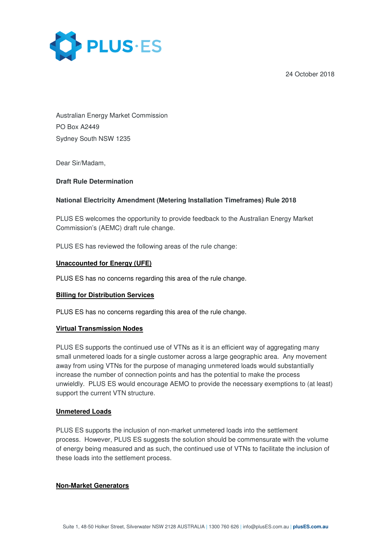24 October 2018



Australian Energy Market Commission PO Box A2449 Sydney South NSW 1235

Dear Sir/Madam,

## **Draft Rule Determination**

## **National Electricity Amendment (Metering Installation Timeframes) Rule 2018**

PLUS ES welcomes the opportunity to provide feedback to the Australian Energy Market Commission's (AEMC) draft rule change.

PLUS ES has reviewed the following areas of the rule change:

## **Unaccounted for Energy (UFE)**

PLUS ES has no concerns regarding this area of the rule change.

#### **Billing for Distribution Services**

PLUS ES has no concerns regarding this area of the rule change.

#### **Virtual Transmission Nodes**

PLUS ES supports the continued use of VTNs as it is an efficient way of aggregating many small unmetered loads for a single customer across a large geographic area. Any movement away from using VTNs for the purpose of managing unmetered loads would substantially increase the number of connection points and has the potential to make the process unwieldly. PLUS ES would encourage AEMO to provide the necessary exemptions to (at least) support the current VTN structure.

#### **Unmetered Loads**

PLUS ES supports the inclusion of non-market unmetered loads into the settlement process. However, PLUS ES suggests the solution should be commensurate with the volume of energy being measured and as such, the continued use of VTNs to facilitate the inclusion of these loads into the settlement process.

# **Non-Market Generators**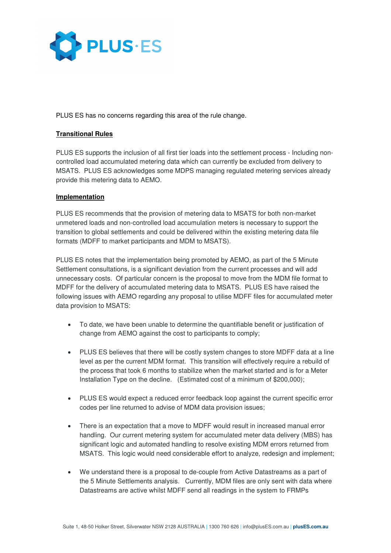

PLUS ES has no concerns regarding this area of the rule change.

### **Transitional Rules**

PLUS ES supports the inclusion of all first tier loads into the settlement process - Including noncontrolled load accumulated metering data which can currently be excluded from delivery to MSATS. PLUS ES acknowledges some MDPS managing regulated metering services already provide this metering data to AEMO.

#### **Implementation**

PLUS ES recommends that the provision of metering data to MSATS for both non-market unmetered loads and non-controlled load accumulation meters is necessary to support the transition to global settlements and could be delivered within the existing metering data file formats (MDFF to market participants and MDM to MSATS).

PLUS ES notes that the implementation being promoted by AEMO, as part of the 5 Minute Settlement consultations, is a significant deviation from the current processes and will add unnecessary costs. Of particular concern is the proposal to move from the MDM file format to MDFF for the delivery of accumulated metering data to MSATS. PLUS ES have raised the following issues with AEMO regarding any proposal to utilise MDFF files for accumulated meter data provision to MSATS:

- To date, we have been unable to determine the quantifiable benefit or justification of change from AEMO against the cost to participants to comply;
- PLUS ES believes that there will be costly system changes to store MDFF data at a line level as per the current MDM format. This transition will effectively require a rebuild of the process that took 6 months to stabilize when the market started and is for a Meter Installation Type on the decline. (Estimated cost of a minimum of \$200,000);
- PLUS ES would expect a reduced error feedback loop against the current specific error codes per line returned to advise of MDM data provision issues;
- There is an expectation that a move to MDFF would result in increased manual error handling. Our current metering system for accumulated meter data delivery (MBS) has significant logic and automated handling to resolve existing MDM errors returned from MSATS. This logic would need considerable effort to analyze, redesign and implement;
- We understand there is a proposal to de-couple from Active Datastreams as a part of the 5 Minute Settlements analysis. Currently, MDM files are only sent with data where Datastreams are active whilst MDFF send all readings in the system to FRMPs